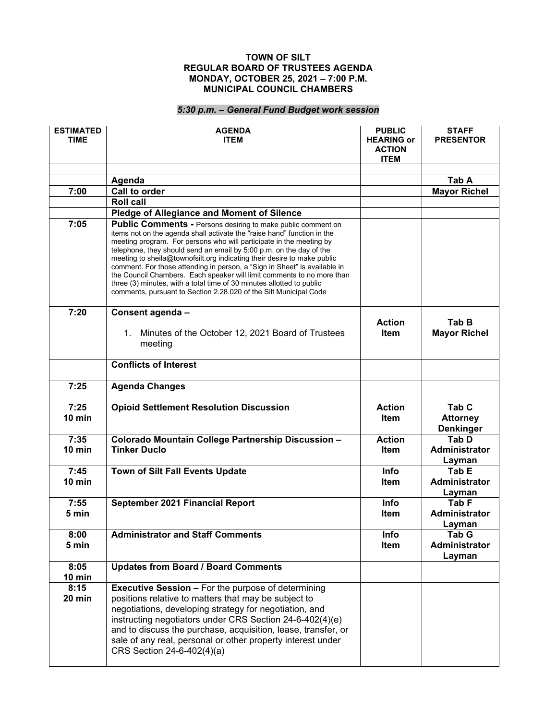## **TOWN OF SILT REGULAR BOARD OF TRUSTEES AGENDA MONDAY, OCTOBER 25, 2021 – 7:00 P.M. MUNICIPAL COUNCIL CHAMBERS**

## *5:30 p.m. – General Fund Budget work session*

| <b>ESTIMATED</b><br><b>TIME</b> | <b>AGENDA</b><br><b>ITEM</b>                                                                                                                                                                                                                                                                                                                                                                                                                                                                                                                                                                                                                                                 | <b>PUBLIC</b><br><b>HEARING or</b><br><b>ACTION</b><br><b>ITEM</b> | <b>STAFF</b><br><b>PRESENTOR</b>                        |
|---------------------------------|------------------------------------------------------------------------------------------------------------------------------------------------------------------------------------------------------------------------------------------------------------------------------------------------------------------------------------------------------------------------------------------------------------------------------------------------------------------------------------------------------------------------------------------------------------------------------------------------------------------------------------------------------------------------------|--------------------------------------------------------------------|---------------------------------------------------------|
|                                 |                                                                                                                                                                                                                                                                                                                                                                                                                                                                                                                                                                                                                                                                              |                                                                    |                                                         |
|                                 | Agenda                                                                                                                                                                                                                                                                                                                                                                                                                                                                                                                                                                                                                                                                       |                                                                    | Tab A                                                   |
| 7:00                            | <b>Call to order</b>                                                                                                                                                                                                                                                                                                                                                                                                                                                                                                                                                                                                                                                         |                                                                    | <b>Mayor Richel</b>                                     |
|                                 | <b>Roll call</b>                                                                                                                                                                                                                                                                                                                                                                                                                                                                                                                                                                                                                                                             |                                                                    |                                                         |
|                                 | Pledge of Allegiance and Moment of Silence                                                                                                                                                                                                                                                                                                                                                                                                                                                                                                                                                                                                                                   |                                                                    |                                                         |
| 7:05                            | <b>Public Comments - Persons desiring to make public comment on</b><br>items not on the agenda shall activate the "raise hand" function in the<br>meeting program. For persons who will participate in the meeting by<br>telephone, they should send an email by 5:00 p.m. on the day of the<br>meeting to sheila@townofsilt.org indicating their desire to make public<br>comment. For those attending in person, a "Sign in Sheet" is available in<br>the Council Chambers. Each speaker will limit comments to no more than<br>three (3) minutes, with a total time of 30 minutes allotted to public<br>comments, pursuant to Section 2.28.020 of the Silt Municipal Code |                                                                    |                                                         |
| 7:20                            | Consent agenda -                                                                                                                                                                                                                                                                                                                                                                                                                                                                                                                                                                                                                                                             |                                                                    |                                                         |
|                                 | 1. Minutes of the October 12, 2021 Board of Trustees<br>meeting                                                                                                                                                                                                                                                                                                                                                                                                                                                                                                                                                                                                              | <b>Action</b><br><b>Item</b>                                       | Tab B<br><b>Mayor Richel</b>                            |
|                                 | <b>Conflicts of Interest</b>                                                                                                                                                                                                                                                                                                                                                                                                                                                                                                                                                                                                                                                 |                                                                    |                                                         |
| 7:25                            | <b>Agenda Changes</b>                                                                                                                                                                                                                                                                                                                                                                                                                                                                                                                                                                                                                                                        |                                                                    |                                                         |
| 7:25<br>10 min                  | <b>Opioid Settlement Resolution Discussion</b>                                                                                                                                                                                                                                                                                                                                                                                                                                                                                                                                                                                                                               | <b>Action</b><br><b>Item</b>                                       | Tab <sub>C</sub><br><b>Attorney</b><br><b>Denkinger</b> |
| 7:35                            | Colorado Mountain College Partnership Discussion -                                                                                                                                                                                                                                                                                                                                                                                                                                                                                                                                                                                                                           | <b>Action</b>                                                      | Tab D                                                   |
| 10 min                          | <b>Tinker Duclo</b>                                                                                                                                                                                                                                                                                                                                                                                                                                                                                                                                                                                                                                                          | <b>Item</b>                                                        | Administrator<br>Layman                                 |
| 7:45                            | Town of Silt Fall Events Update                                                                                                                                                                                                                                                                                                                                                                                                                                                                                                                                                                                                                                              | Info                                                               | Tab E                                                   |
| $10$ min                        |                                                                                                                                                                                                                                                                                                                                                                                                                                                                                                                                                                                                                                                                              | ltem                                                               | <b>Administrator</b>                                    |
|                                 |                                                                                                                                                                                                                                                                                                                                                                                                                                                                                                                                                                                                                                                                              |                                                                    | Layman                                                  |
| 7:55                            | September 2021 Financial Report                                                                                                                                                                                                                                                                                                                                                                                                                                                                                                                                                                                                                                              | Info                                                               | Tab <sub>F</sub>                                        |
| 5 min                           |                                                                                                                                                                                                                                                                                                                                                                                                                                                                                                                                                                                                                                                                              | <b>Item</b>                                                        | Administrator                                           |
| 8:00                            | <b>Administrator and Staff Comments</b>                                                                                                                                                                                                                                                                                                                                                                                                                                                                                                                                                                                                                                      | Info                                                               | Layman<br>Tab G                                         |
| 5 min                           |                                                                                                                                                                                                                                                                                                                                                                                                                                                                                                                                                                                                                                                                              | <b>Item</b>                                                        | Administrator                                           |
|                                 |                                                                                                                                                                                                                                                                                                                                                                                                                                                                                                                                                                                                                                                                              |                                                                    | Layman                                                  |
| 8:05                            | <b>Updates from Board / Board Comments</b>                                                                                                                                                                                                                                                                                                                                                                                                                                                                                                                                                                                                                                   |                                                                    |                                                         |
| 10 min                          |                                                                                                                                                                                                                                                                                                                                                                                                                                                                                                                                                                                                                                                                              |                                                                    |                                                         |
| 8:15<br>20 min                  | <b>Executive Session - For the purpose of determining</b><br>positions relative to matters that may be subject to<br>negotiations, developing strategy for negotiation, and<br>instructing negotiators under CRS Section 24-6-402(4)(e)<br>and to discuss the purchase, acquisition, lease, transfer, or<br>sale of any real, personal or other property interest under<br>CRS Section 24-6-402(4)(a)                                                                                                                                                                                                                                                                        |                                                                    |                                                         |